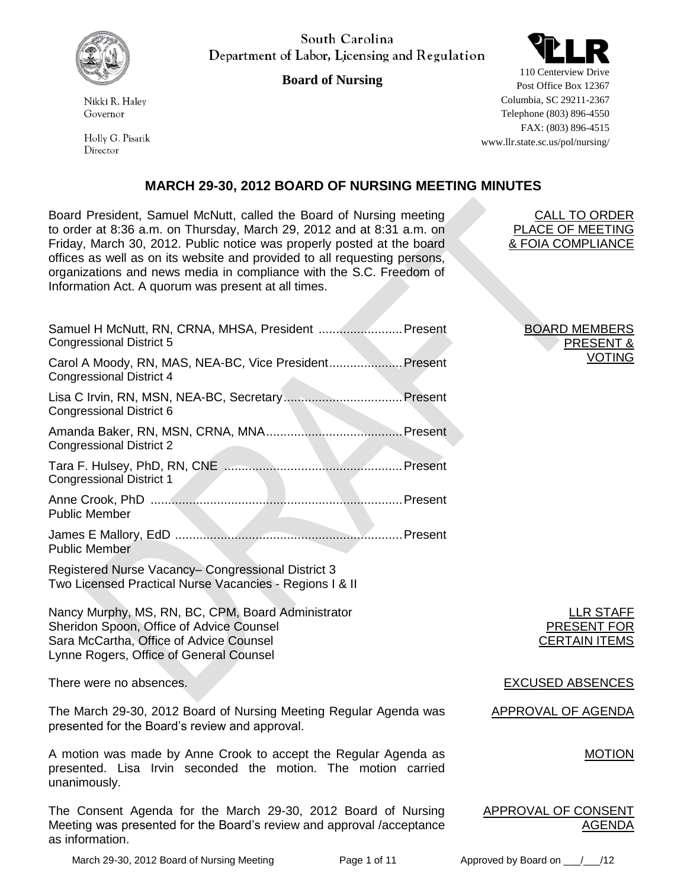

Nikki R. Halev Governor

Holly G. Pisarik Director

South Carolina Department of Labor, Licensing and Regulation

# **Board of Nursing**



110 Centerview Drive Post Office Box 12367 Columbia, SC 29211-2367 Telephone (803) 896-4550 FAX: (803) 896-4515 www.llr.state.sc.us/pol/nursing/

# **MARCH 29-30, 2012 BOARD OF NURSING MEETING MINUTES**

Board President, Samuel McNutt, called the Board of Nursing meeting to order at 8:36 a.m. on Thursday, March 29, 2012 and at 8:31 a.m. on Friday, March 30, 2012. Public notice was properly posted at the board offices as well as on its website and provided to all requesting persons, organizations and news media in compliance with the S.C. Freedom of Information Act. A quorum was present at all times.

| Samuel H McNutt, RN, CRNA, MHSA, President  Present<br><b>Congressional District 5</b>                                                                                               |  |
|--------------------------------------------------------------------------------------------------------------------------------------------------------------------------------------|--|
| Carol A Moody, RN, MAS, NEA-BC, Vice President Present<br><b>Congressional District 4</b>                                                                                            |  |
| Congressional District 6                                                                                                                                                             |  |
| <b>Congressional District 2</b>                                                                                                                                                      |  |
| <b>Congressional District 1</b>                                                                                                                                                      |  |
| <b>Public Member</b>                                                                                                                                                                 |  |
| <b>Public Member</b>                                                                                                                                                                 |  |
| Registered Nurse Vacancy- Congressional District 3<br>Two Licensed Practical Nurse Vacancies - Regions I & II                                                                        |  |
| Nancy Murphy, MS, RN, BC, CPM, Board Administrator<br>Sheridon Spoon, Office of Advice Counsel<br>Sara McCartha, Office of Advice Counsel<br>Lynne Rogers, Office of General Counsel |  |
| There were no absences.                                                                                                                                                              |  |

The March 29-30, 2012 Board of Nursing Meeting Regular Agenda was presented for the Board's review and approval.

A motion was made by Anne Crook to accept the Regular Agenda as presented. Lisa Irvin seconded the motion. The motion carried unanimously.

The Consent Agenda for the March 29-30, 2012 Board of Nursing Meeting was presented for the Board's review and approval /acceptance as information.

BOARD MEMBERS PRESENT & VOTING

CALL TO ORDER PLACE OF MEETING & FOIA COMPLIANCE

> LLR STAFF PRESENT FOR CERTAIN ITEMS

EXCUSED ABSENCES.

APPROVAL OF AGENDA

MOTION

APPROVAL OF CONSENT AGENDA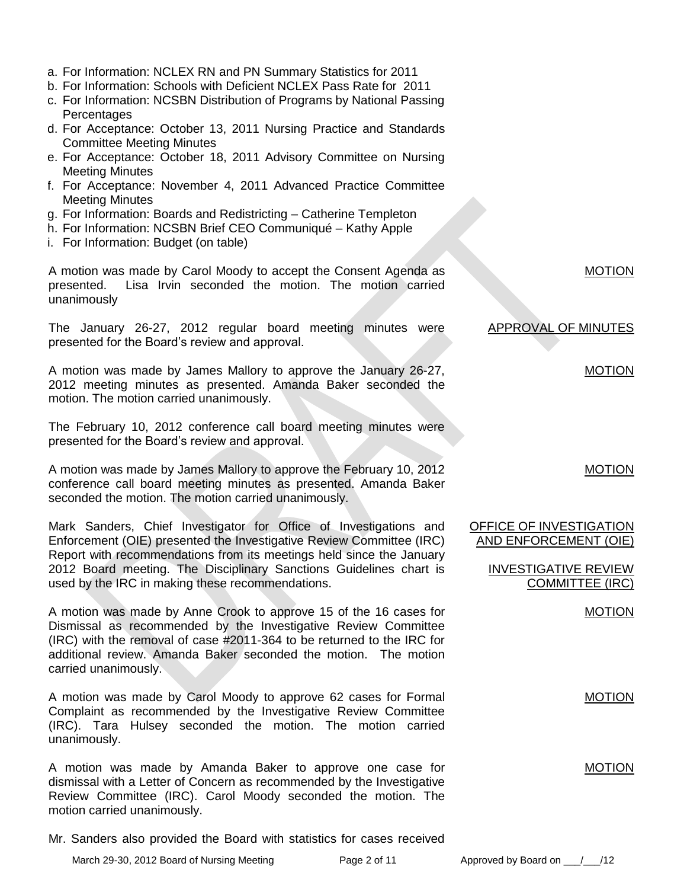- Mr. Sanders also provided the Board with statistics for cases received
	- March 29-30, 2012 Board of Nursing Meeting Page 2 of 11 Approved by Board on \_\_\_/\_\_\_/12
- 
- 
- a. For Information: NCLEX RN and PN Summary Statistics for 2011
- b. For Information: Schools with Deficient NCLEX Pass Rate for 2011
- c. For Information: NCSBN Distribution of Programs by National Passing **Percentages**
- d. For Acceptance: October 13, 2011 Nursing Practice and Standards Committee Meeting Minutes
- e. For Acceptance: October 18, 2011 Advisory Committee on Nursing Meeting Minutes
- f. For Acceptance: November 4, 2011 Advanced Practice Committee Meeting Minutes
- g. For Information: Boards and Redistricting Catherine Templeton
- h. For Information: NCSBN Brief CEO Communiqué Kathy Apple
- i. For Information: Budget (on table)

A motion was made by Carol Moody to accept the Consent Agenda as presented. Lisa Irvin seconded the motion. The motion carried unanimously

The January 26-27, 2012 regular board meeting minutes were presented for the Board's review and approval.

A motion was made by James Mallory to approve the January 26-27, 2012 meeting minutes as presented. Amanda Baker seconded the motion. The motion carried unanimously.

The February 10, 2012 conference call board meeting minutes were presented for the Board's review and approval.

A motion was made by James Mallory to approve the February 10, 2012 conference call board meeting minutes as presented. Amanda Baker seconded the motion. The motion carried unanimously.

Mark Sanders, Chief Investigator for Office of Investigations and Enforcement (OIE) presented the Investigative Review Committee (IRC) Report with recommendations from its meetings held since the January 2012 Board meeting. The Disciplinary Sanctions Guidelines chart is used by the IRC in making these recommendations.

A motion was made by Anne Crook to approve 15 of the 16 cases for Dismissal as recommended by the Investigative Review Committee (IRC) with the removal of case #2011-364 to be returned to the IRC for additional review. Amanda Baker seconded the motion. The motion carried unanimously.

A motion was made by Carol Moody to approve 62 cases for Formal Complaint as recommended by the Investigative Review Committee (IRC). Tara Hulsey seconded the motion. The motion carried unanimously.

A motion was made by Amanda Baker to approve one case for dismissal with a Letter of Concern as recommended by the Investigative Review Committee (IRC). Carol Moody seconded the motion. The motion carried unanimously.

APPROVAL OF MINUTES

MOTION

MOTION

MOTION

OFFICE OF INVESTIGATION AND ENFORCEMENT (OIE)

> INVESTIGATIVE REVIEW COMMITTEE (IRC)

> > MOTION

MOTION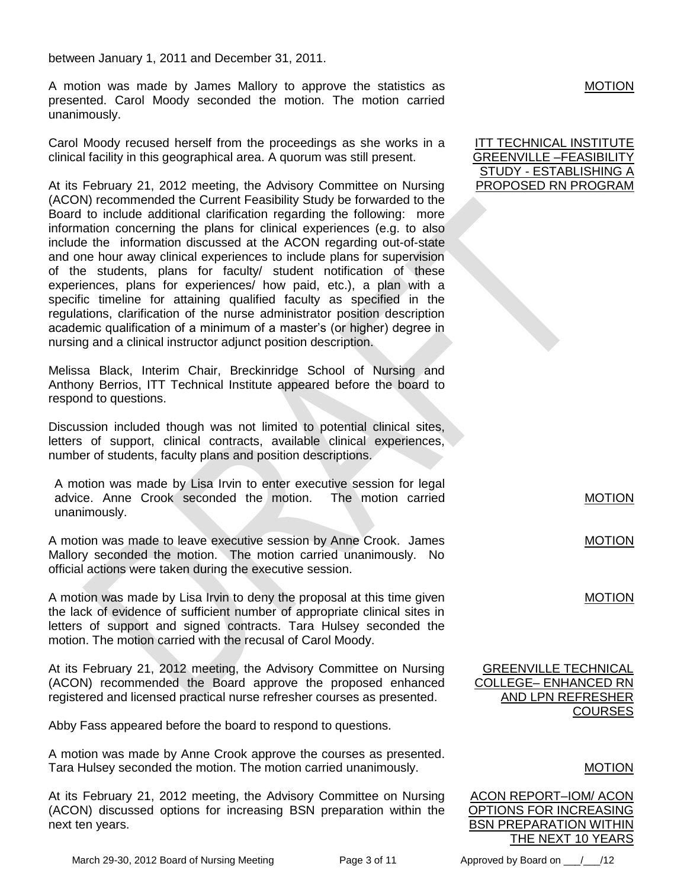between January 1, 2011 and December 31, 2011.

A motion was made by James Mallory to approve the statistics as presented. Carol Moody seconded the motion. The motion carried unanimously.

Carol Moody recused herself from the proceedings as she works in a clinical facility in this geographical area. A quorum was still present.

At its February 21, 2012 meeting, the Advisory Committee on Nursing (ACON) recommended the Current Feasibility Study be forwarded to the Board to include additional clarification regarding the following: more information concerning the plans for clinical experiences (e.g. to also include the information discussed at the ACON regarding out-of-state and one hour away clinical experiences to include plans for supervision of the students, plans for faculty/ student notification of these experiences, plans for experiences/ how paid, etc.), a plan with a specific timeline for attaining qualified faculty as specified in the regulations, clarification of the nurse administrator position description academic qualification of a minimum of a master's (or higher) degree in nursing and a clinical instructor adjunct position description.

Melissa Black, Interim Chair, Breckinridge School of Nursing and Anthony Berrios, ITT Technical Institute appeared before the board to respond to questions.

Discussion included though was not limited to potential clinical sites, letters of support, clinical contracts, available clinical experiences, number of students, faculty plans and position descriptions.

A motion was made by Lisa Irvin to enter executive session for legal advice. Anne Crook seconded the motion. The motion carried unanimously.

A motion was made to leave executive session by Anne Crook. James Mallory seconded the motion. The motion carried unanimously. No official actions were taken during the executive session.

A motion was made by Lisa Irvin to deny the proposal at this time given the lack of evidence of sufficient number of appropriate clinical sites in letters of support and signed contracts. Tara Hulsey seconded the motion. The motion carried with the recusal of Carol Moody.

At its February 21, 2012 meeting, the Advisory Committee on Nursing (ACON) recommended the Board approve the proposed enhanced registered and licensed practical nurse refresher courses as presented.

Abby Fass appeared before the board to respond to questions.

A motion was made by Anne Crook approve the courses as presented. Tara Hulsey seconded the motion. The motion carried unanimously.

At its February 21, 2012 meeting, the Advisory Committee on Nursing (ACON) discussed options for increasing BSN preparation within the next ten years.

March 29-30, 2012 Board of Nursing Meeting Page 3 of 11 Approved by Board on  $/$  /12

## **MOTION**

| ITT TECHNICAL INSTITUTE |
|-------------------------|
| GREENVILLE –FEASIBILITY |
| STUDY - ESTABLISHING A  |
| PROPOSED RN PROGRAM     |

MOTION

MOTION

MOTION

GREENVILLE TECHNICAL COLLEGE– ENHANCED RN AND LPN REFRESHER **COURSES** 

## MOTION

ACON REPORT–IOM/ ACON OPTIONS FOR INCREASING BSN PREPARATION WITHIN THE NEXT 10 YEARS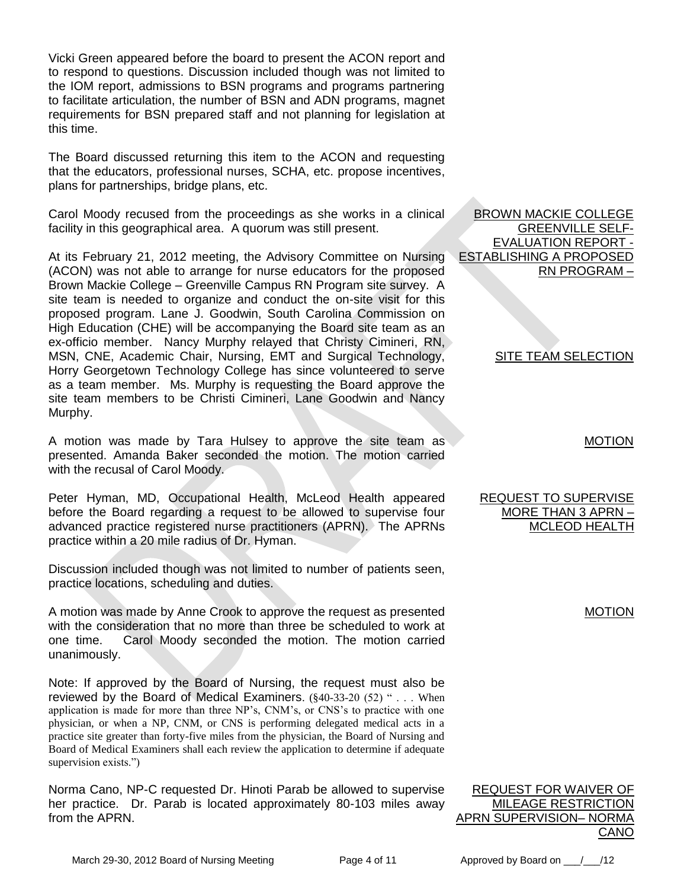Vicki Green appeared before the board to present the ACON report and to respond to questions. Discussion included though was not limited to the IOM report, admissions to BSN programs and programs partnering to facilitate articulation, the number of BSN and ADN programs, magnet requirements for BSN prepared staff and not planning for legislation at this time.

The Board discussed returning this item to the ACON and requesting that the educators, professional nurses, SCHA, etc. propose incentives, plans for partnerships, bridge plans, etc.

Carol Moody recused from the proceedings as she works in a clinical facility in this geographical area. A quorum was still present.

At its February 21, 2012 meeting, the Advisory Committee on Nursing (ACON) was not able to arrange for nurse educators for the proposed Brown Mackie College – Greenville Campus RN Program site survey. A site team is needed to organize and conduct the on-site visit for this proposed program. Lane J. Goodwin, South Carolina Commission on High Education (CHE) will be accompanying the Board site team as an ex-officio member. Nancy Murphy relayed that Christy Cimineri, RN, MSN, CNE, Academic Chair, Nursing, EMT and Surgical Technology, Horry Georgetown Technology College has since volunteered to serve as a team member. Ms. Murphy is requesting the Board approve the site team members to be Christi Cimineri, Lane Goodwin and Nancy Murphy.

A motion was made by Tara Hulsey to approve the site team as presented. Amanda Baker seconded the motion. The motion carried with the recusal of Carol Moody.

Peter Hyman, MD, Occupational Health, McLeod Health appeared before the Board regarding a request to be allowed to supervise four advanced practice registered nurse practitioners (APRN). The APRNs practice within a 20 mile radius of Dr. Hyman.

Discussion included though was not limited to number of patients seen, practice locations, scheduling and duties.

A motion was made by Anne Crook to approve the request as presented with the consideration that no more than three be scheduled to work at one time. Carol Moody seconded the motion. The motion carried unanimously.

Note: If approved by the Board of Nursing, the request must also be reviewed by the Board of Medical Examiners. (§40-33-20 (52) " . . . When application is made for more than three NP's, CNM's, or CNS's to practice with one physician, or when a NP, CNM, or CNS is performing delegated medical acts in a practice site greater than forty-five miles from the physician, the Board of Nursing and Board of Medical Examiners shall each review the application to determine if adequate supervision exists.")

Norma Cano, NP-C requested Dr. Hinoti Parab be allowed to supervise her practice. Dr. Parab is located approximately 80-103 miles away from the APRN.

BROWN MACKIE COLLEGE GREENVILLE SELF-EVALUATION REPORT - ESTABLISHING A PROPOSED RN PROGRAM –

# **SITE TEAM SELECTION**

MOTION

## REQUEST TO SUPERVISE MORE THAN 3 APRN – MCLEOD HEALTH

| REQUEST FOR WAIVER OF      |
|----------------------------|
| <b>MILEAGE RESTRICTION</b> |
| APRN SUPERVISION– NORMA    |
| CANO                       |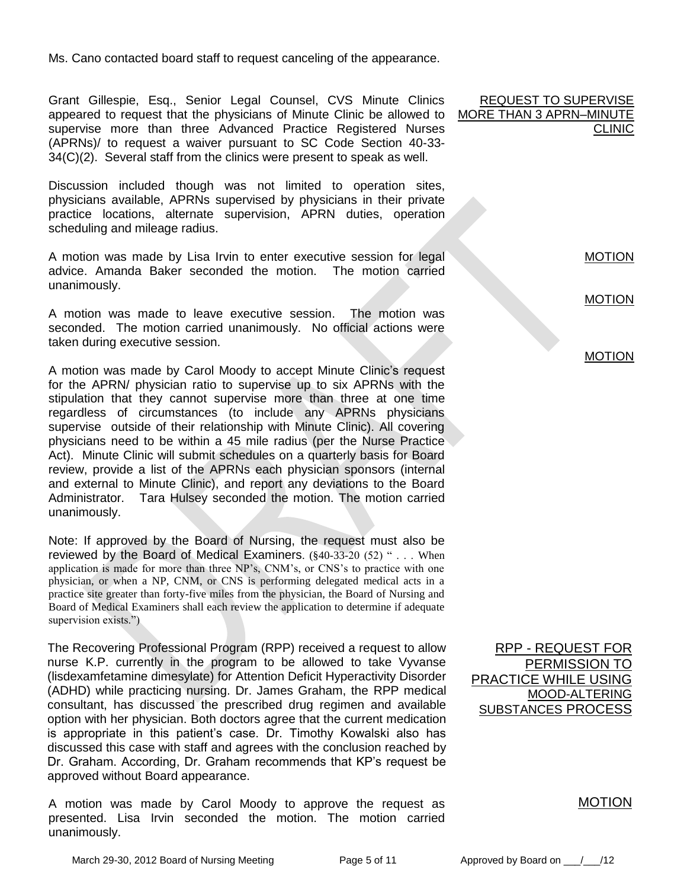Ms. Cano contacted board staff to request canceling of the appearance.

Grant Gillespie, Esq., Senior Legal Counsel, CVS Minute Clinics appeared to request that the physicians of Minute Clinic be allowed to supervise more than three Advanced Practice Registered Nurses (APRNs)/ to request a waiver pursuant to SC Code Section 40-33- 34(C)(2). Several staff from the clinics were present to speak as well.

Discussion included though was not limited to operation sites, physicians available, APRNs supervised by physicians in their private practice locations, alternate supervision, APRN duties, operation scheduling and mileage radius.

A motion was made by Lisa Irvin to enter executive session for legal advice. Amanda Baker seconded the motion. The motion carried unanimously.

A motion was made to leave executive session. The motion was seconded. The motion carried unanimously. No official actions were taken during executive session.

A motion was made by Carol Moody to accept Minute Clinic's request for the APRN/ physician ratio to supervise up to six APRNs with the stipulation that they cannot supervise more than three at one time regardless of circumstances (to include any APRNs physicians supervise outside of their relationship with Minute Clinic). All covering physicians need to be within a 45 mile radius (per the Nurse Practice Act). Minute Clinic will submit schedules on a quarterly basis for Board review, provide a list of the APRNs each physician sponsors (internal and external to Minute Clinic), and report any deviations to the Board Administrator. Tara Hulsey seconded the motion. The motion carried unanimously.

Note: If approved by the Board of Nursing, the request must also be reviewed by the Board of Medical Examiners. (§40-33-20 (52) " . . . When application is made for more than three NP's, CNM's, or CNS's to practice with one physician, or when a NP, CNM, or CNS is performing delegated medical acts in a practice site greater than forty-five miles from the physician, the Board of Nursing and Board of Medical Examiners shall each review the application to determine if adequate supervision exists.")

The Recovering Professional Program (RPP) received a request to allow nurse K.P. currently in the program to be allowed to take Vyvanse (lisdexamfetamine dimesylate) for Attention Deficit Hyperactivity Disorder (ADHD) while practicing nursing. Dr. James Graham, the RPP medical consultant, has discussed the prescribed drug regimen and available option with her physician. Both doctors agree that the current medication is appropriate in this patient's case. Dr. Timothy Kowalski also has discussed this case with staff and agrees with the conclusion reached by Dr. Graham. According, Dr. Graham recommends that KP's request be approved without Board appearance.

A motion was made by Carol Moody to approve the request as presented. Lisa Irvin seconded the motion. The motion carried unanimously.

REQUEST TO SUPERVISE MORE THAN 3 APRN–MINUTE **CLINIC** 

MOTION

MOTION

MOTION

RPP - REQUEST FOR PERMISSION TO PRACTICE WHILE USING MOOD-ALTERING SUBSTANCES PROCES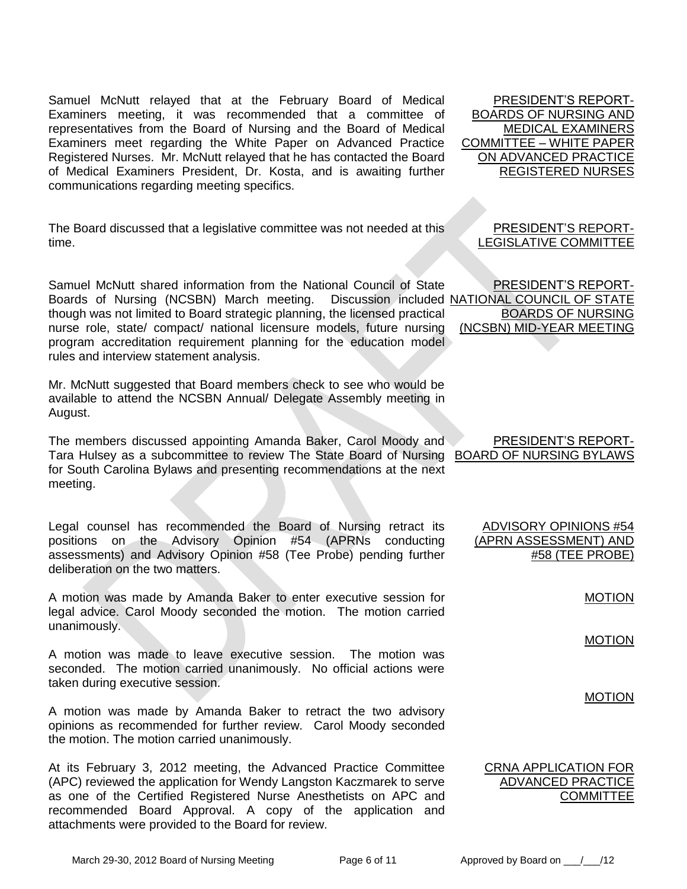Samuel McNutt relayed that at the February Board of Medical Examiners meeting, it was recommended that a committee of representatives from the Board of Nursing and the Board of Medical Examiners meet regarding the White Paper on Advanced Practice Registered Nurses. Mr. McNutt relayed that he has contacted the Board of Medical Examiners President, Dr. Kosta, and is awaiting further communications regarding meeting specifics.

The Board discussed that a legislative committee was not needed at this time.

Samuel McNutt shared information from the National Council of State Boards of Nursing (NCSBN) March meeting. though was not limited to Board strategic planning, the licensed practical nurse role, state/ compact/ national licensure models, future nursing program accreditation requirement planning for the education model rules and interview statement analysis.

Mr. McNutt suggested that Board members check to see who would be available to attend the NCSBN Annual/ Delegate Assembly meeting in August.

The members discussed appointing Amanda Baker, Carol Moody and Tara Hulsey as a subcommittee to review The State Board of Nursing BOARD OF NURSING BYLAWS for South Carolina Bylaws and presenting recommendations at the next meeting.

Legal counsel has recommended the Board of Nursing retract its positions on the Advisory Opinion #54 (APRNs conducting assessments) and Advisory Opinion #58 (Tee Probe) pending further deliberation on the two matters.

A motion was made by Amanda Baker to enter executive session for legal advice. Carol Moody seconded the motion. The motion carried unanimously.

A motion was made to leave executive session. The motion was seconded. The motion carried unanimously. No official actions were taken during executive session.

A motion was made by Amanda Baker to retract the two advisory opinions as recommended for further review. Carol Moody seconded the motion. The motion carried unanimously.

At its February 3, 2012 meeting, the Advanced Practice Committee (APC) reviewed the application for Wendy Langston Kaczmarek to serve as one of the Certified Registered Nurse Anesthetists on APC and recommended Board Approval. A copy of the application and attachments were provided to the Board for review.

PRESIDENT'S REPORT-BOARDS OF NURSING AND MEDICAL EXAMINERS COMMITTEE – WHITE PAPER ON ADVANCED PRACTICE REGISTERED NURSES

> PRESIDENT'S REPORT-LEGISLATIVE COMMITTEE

PRESIDENT'S REPORT-Discussion included NATIONAL COUNCIL OF STATE BOARDS OF NURSING (NCSBN) MID-YEAR MEETING

PRESIDENT'S REPORT-

ADVISORY OPINIONS #54 (APRN ASSESSMENT) AND #58 (TEE PROBE)

MOTION

MOTION

MOTION

## CRNA APPLICATION FOR ADVANCED PRACTICE **COMMITTEE**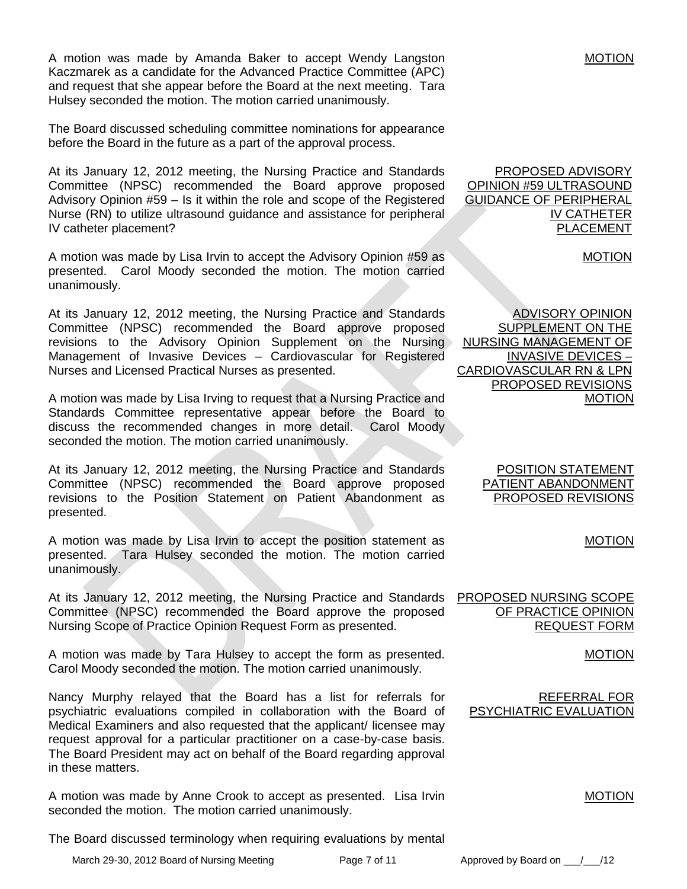A motion was made by Amanda Baker to accept Wendy Langston Kaczmarek as a candidate for the Advanced Practice Committee (APC) and request that she appear before the Board at the next meeting. Tara Hulsey seconded the motion. The motion carried unanimously.

The Board discussed scheduling committee nominations for appearance before the Board in the future as a part of the approval process.

At its January 12, 2012 meeting, the Nursing Practice and Standards Committee (NPSC) recommended the Board approve proposed Advisory Opinion #59 – Is it within the role and scope of the Registered Nurse (RN) to utilize ultrasound guidance and assistance for peripheral IV catheter placement?

A motion was made by Lisa Irvin to accept the Advisory Opinion #59 as presented. Carol Moody seconded the motion. The motion carried unanimously.

At its January 12, 2012 meeting, the Nursing Practice and Standards Committee (NPSC) recommended the Board approve proposed revisions to the Advisory Opinion Supplement on the Nursing Management of Invasive Devices – Cardiovascular for Registered Nurses and Licensed Practical Nurses as presented.

A motion was made by Lisa Irving to request that a Nursing Practice and Standards Committee representative appear before the Board to discuss the recommended changes in more detail. Carol Moody seconded the motion. The motion carried unanimously.

At its January 12, 2012 meeting, the Nursing Practice and Standards Committee (NPSC) recommended the Board approve proposed revisions to the Position Statement on Patient Abandonment as presented.

A motion was made by Lisa Irvin to accept the position statement as presented. Tara Hulsey seconded the motion. The motion carried unanimously.

At its January 12, 2012 meeting, the Nursing Practice and Standards Committee (NPSC) recommended the Board approve the proposed Nursing Scope of Practice Opinion Request Form as presented.

A motion was made by Tara Hulsey to accept the form as presented. Carol Moody seconded the motion. The motion carried unanimously.

Nancy Murphy relayed that the Board has a list for referrals for psychiatric evaluations compiled in collaboration with the Board of Medical Examiners and also requested that the applicant/ licensee may request approval for a particular practitioner on a case-by-case basis. The Board President may act on behalf of the Board regarding approval in these matters.

A motion was made by Anne Crook to accept as presented. Lisa Irvin seconded the motion. The motion carried unanimously.

The Board discussed terminology when requiring evaluations by mental

PROPOSED ADVISORY OPINION #59 ULTRASOUND GUIDANCE OF PERIPHERAL IV CATHETER PLACEMENT

MOTION

ADVISORY OPINION SUPPLEMENT ON THE NURSING MANAGEMENT OF INVASIVE DEVICES – CARDIOVASCULAR RN & LPN PROPOSED REVISIONS MOTION

> POSITION STATEMENT PATIENT ABANDONMENT PROPOSED REVISIONS

> > MOTION

PROPOSED NURSING SCOPE OF PRACTICE OPINION REQUEST FORM

MOTION

REFERRAL FOR PSYCHIATRIC EVALUATION

MOTION

March 29-30, 2012 Board of Nursing Meeting Page 7 of 11 Approved by Board on \_\_\_/\_\_\_/12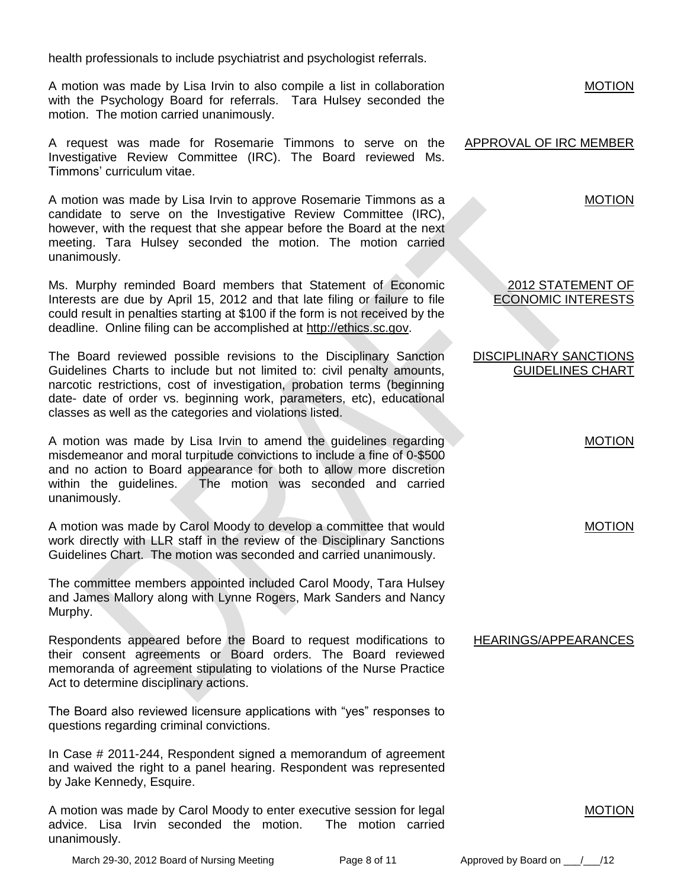health professionals to include psychiatrist and psychologist referrals.

A motion was made by Lisa Irvin to also compile a list in collaboration with the Psychology Board for referrals. Tara Hulsey seconded the motion. The motion carried unanimously.

A request was made for Rosemarie Timmons to serve on the Investigative Review Committee (IRC). The Board reviewed Ms. Timmons' curriculum vitae.

A motion was made by Lisa Irvin to approve Rosemarie Timmons as a candidate to serve on the Investigative Review Committee (IRC), however, with the request that she appear before the Board at the next meeting. Tara Hulsey seconded the motion. The motion carried unanimously.

Ms. Murphy reminded Board members that Statement of Economic Interests are due by April 15, 2012 and that late filing or failure to file could result in penalties starting at \$100 if the form is not received by the deadline. Online filing can be accomplished at [http://ethics.sc.gov.](http://ethics.sc.gov/)

The Board reviewed possible revisions to the Disciplinary Sanction Guidelines Charts to include but not limited to: civil penalty amounts, narcotic restrictions, cost of investigation, probation terms (beginning date- date of order vs. beginning work, parameters, etc), educational classes as well as the categories and violations listed.

A motion was made by Lisa Irvin to amend the guidelines regarding misdemeanor and moral turpitude convictions to include a fine of 0-\$500 and no action to Board appearance for both to allow more discretion within the guidelines. The motion was seconded and carried unanimously.

A motion was made by Carol Moody to develop a committee that would work directly with LLR staff in the review of the Disciplinary Sanctions Guidelines Chart. The motion was seconded and carried unanimously.

The committee members appointed included Carol Moody, Tara Hulsey and James Mallory along with Lynne Rogers, Mark Sanders and Nancy Murphy.

Respondents appeared before the Board to request modifications to their consent agreements or Board orders. The Board reviewed memoranda of agreement stipulating to violations of the Nurse Practice Act to determine disciplinary actions.

The Board also reviewed licensure applications with "yes" responses to questions regarding criminal convictions.

In Case # 2011-244, Respondent signed a memorandum of agreement and waived the right to a panel hearing. Respondent was represented by Jake Kennedy, Esquire.

A motion was made by Carol Moody to enter executive session for legal advice. Lisa Irvin seconded the motion. The motion carried unanimously.

**MOTION** 

### APPROVAL OF IRC MEMBER

MOTION

#### 2012 STATEMENT OF ECONOMIC INTERESTS

DISCIPLINARY SANCTIONS GUIDELINES CHART

MOTION

MOTION

#### HEARINGS/APPEARANCES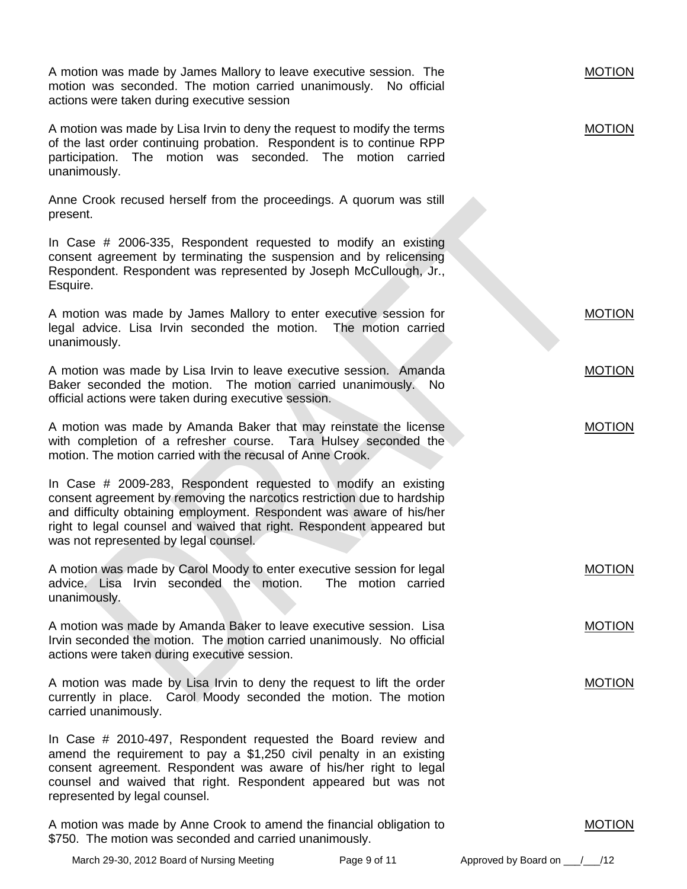| A motion was made by James Mallory to leave executive session. The<br>motion was seconded. The motion carried unanimously. No official<br>actions were taken during executive session                                                                                                                                               |                    | <b>MOTION</b>                 |
|-------------------------------------------------------------------------------------------------------------------------------------------------------------------------------------------------------------------------------------------------------------------------------------------------------------------------------------|--------------------|-------------------------------|
| A motion was made by Lisa Irvin to deny the request to modify the terms<br>of the last order continuing probation. Respondent is to continue RPP<br>The motion was seconded. The motion carried<br>participation.<br>unanimously.                                                                                                   |                    | <b>MOTION</b>                 |
| Anne Crook recused herself from the proceedings. A quorum was still<br>present.                                                                                                                                                                                                                                                     |                    |                               |
| In Case # 2006-335, Respondent requested to modify an existing<br>consent agreement by terminating the suspension and by relicensing<br>Respondent. Respondent was represented by Joseph McCullough, Jr.,<br>Esquire.                                                                                                               |                    |                               |
| A motion was made by James Mallory to enter executive session for<br>legal advice. Lisa Irvin seconded the motion. The motion carried<br>unanimously.                                                                                                                                                                               |                    | <b>MOTION</b>                 |
| A motion was made by Lisa Irvin to leave executive session. Amanda<br>Baker seconded the motion. The motion carried unanimously.<br>official actions were taken during executive session.                                                                                                                                           | <b>No</b>          | <b>MOTION</b>                 |
| A motion was made by Amanda Baker that may reinstate the license<br>with completion of a refresher course. Tara Hulsey seconded the<br>motion. The motion carried with the recusal of Anne Crook.                                                                                                                                   |                    | <b>MOTION</b>                 |
| In Case # 2009-283, Respondent requested to modify an existing<br>consent agreement by removing the narcotics restriction due to hardship<br>and difficulty obtaining employment. Respondent was aware of his/her<br>right to legal counsel and waived that right. Respondent appeared but<br>was not represented by legal counsel. |                    |                               |
| A motion was made by Carol Moody to enter executive session for legal<br>advice. Lisa Irvin seconded the motion.<br>unanimously.                                                                                                                                                                                                    | The motion carried | <b>MOTION</b>                 |
| A motion was made by Amanda Baker to leave executive session. Lisa<br>Irvin seconded the motion. The motion carried unanimously. No official<br>actions were taken during executive session.                                                                                                                                        |                    | <b>MOTION</b>                 |
| A motion was made by Lisa Irvin to deny the request to lift the order<br>currently in place. Carol Moody seconded the motion. The motion<br>carried unanimously.                                                                                                                                                                    |                    | <b>MOTION</b>                 |
| In Case # 2010-497, Respondent requested the Board review and<br>amend the requirement to pay a \$1,250 civil penalty in an existing<br>consent agreement. Respondent was aware of his/her right to legal<br>counsel and waived that right. Respondent appeared but was not<br>represented by legal counsel.                        |                    |                               |
| A motion was made by Anne Crook to amend the financial obligation to<br>\$750. The motion was seconded and carried unanimously.                                                                                                                                                                                                     |                    | <b>MOTION</b>                 |
| March 29-30, 2012 Board of Nursing Meeting                                                                                                                                                                                                                                                                                          | Page 9 of 11       | Approved by Board on _<br>/12 |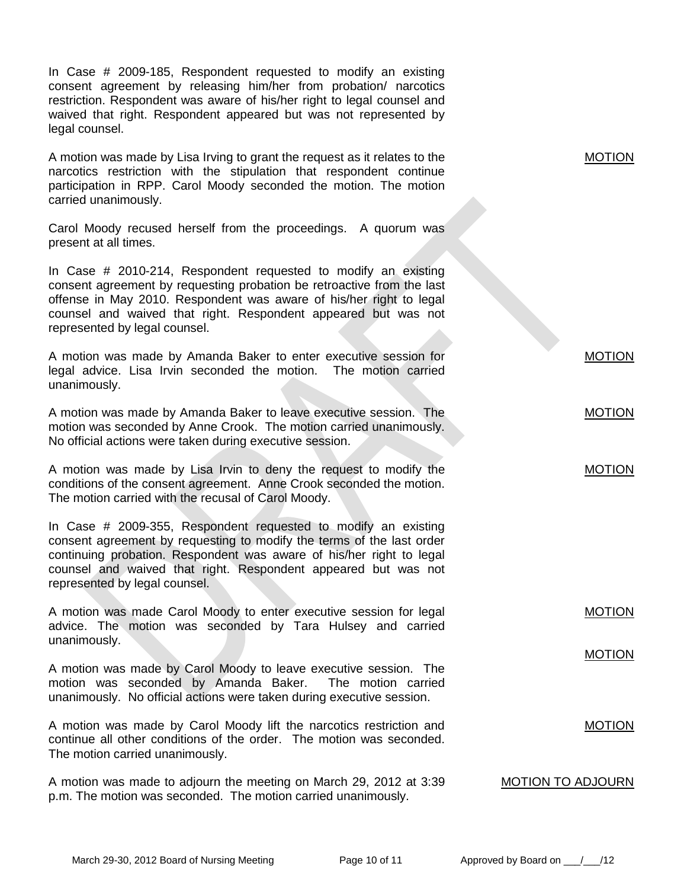| In Case # 2009-185, Respondent requested to modify an existing<br>consent agreement by releasing him/her from probation/ narcotics<br>restriction. Respondent was aware of his/her right to legal counsel and<br>waived that right. Respondent appeared but was not represented by<br>legal counsel.               |                          |
|--------------------------------------------------------------------------------------------------------------------------------------------------------------------------------------------------------------------------------------------------------------------------------------------------------------------|--------------------------|
| A motion was made by Lisa Irving to grant the request as it relates to the<br>narcotics restriction with the stipulation that respondent continue<br>participation in RPP. Carol Moody seconded the motion. The motion<br>carried unanimously.                                                                     | <b>MOTION</b>            |
| Carol Moody recused herself from the proceedings. A quorum was<br>present at all times.                                                                                                                                                                                                                            |                          |
| In Case # 2010-214, Respondent requested to modify an existing<br>consent agreement by requesting probation be retroactive from the last<br>offense in May 2010. Respondent was aware of his/her right to legal<br>counsel and waived that right. Respondent appeared but was not<br>represented by legal counsel. |                          |
| A motion was made by Amanda Baker to enter executive session for<br>legal advice. Lisa Irvin seconded the motion. The motion carried<br>unanimously.                                                                                                                                                               | <b>MOTION</b>            |
| A motion was made by Amanda Baker to leave executive session. The<br>motion was seconded by Anne Crook. The motion carried unanimously.<br>No official actions were taken during executive session.                                                                                                                | <b>MOTION</b>            |
| A motion was made by Lisa Irvin to deny the request to modify the<br>conditions of the consent agreement. Anne Crook seconded the motion.<br>The motion carried with the recusal of Carol Moody.                                                                                                                   | <b>MOTION</b>            |
| In Case # 2009-355, Respondent requested to modify an existing<br>consent agreement by requesting to modify the terms of the last order<br>continuing probation. Respondent was aware of his/her right to legal<br>counsel and waived that right. Respondent appeared but was not<br>represented by legal counsel. |                          |
| A motion was made Carol Moody to enter executive session for legal<br>advice. The motion was seconded by Tara Hulsey and carried<br>unanimously.                                                                                                                                                                   | <b>MOTION</b>            |
| A motion was made by Carol Moody to leave executive session. The<br>motion was seconded by Amanda Baker. The motion carried<br>unanimously. No official actions were taken during executive session.                                                                                                               | <b>MOTION</b>            |
| A motion was made by Carol Moody lift the narcotics restriction and<br>continue all other conditions of the order. The motion was seconded.<br>The motion carried unanimously.                                                                                                                                     | <b>MOTION</b>            |
| A motion was made to adjourn the meeting on March 29, 2012 at 3:39<br>p.m. The motion was seconded. The motion carried unanimously.                                                                                                                                                                                | <b>MOTION TO ADJOURN</b> |